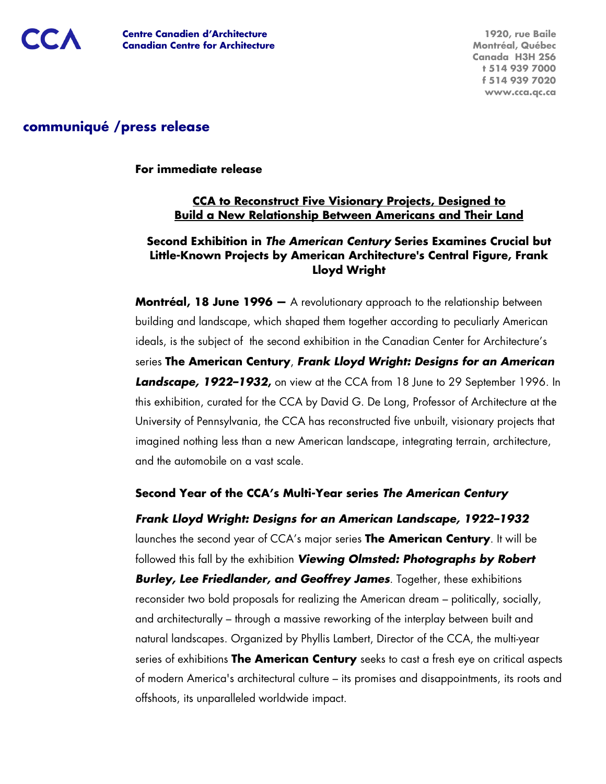

# **communiqué /press release**

**For immediate release**

# **CCA to Reconstruct Five Visionary Projects, Designed to Build a New Relationship Between Americans and Their Land**

### **Second Exhibition in The American Century Series Examines Crucial but Little-Known Projects by American Architecture's Central Figure, Frank Lloyd Wright**

**Montréal, 18 June 1996 —** A revolutionary approach to the relationship between building and landscape, which shaped them together according to peculiarly American ideals, is the subject of the second exhibition in the Canadian Center for Architecture's series **The American Century**, **Frank Lloyd Wright: Designs for an American Landscape, 1922–1932,** on view at the CCA from 18 June to 29 September 1996. In this exhibition, curated for the CCA by David G. De Long, Professor of Architecture at the University of Pennsylvania, the CCA has reconstructed five unbuilt, visionary projects that imagined nothing less than a new American landscape, integrating terrain, architecture, and the automobile on a vast scale.

# **Second Year of the CCA's Multi-Year series The American Century**

**Frank Lloyd Wright: Designs for an American Landscape, 1922–1932** launches the second year of CCA's major series **The American Century**. It will be followed this fall by the exhibition **Viewing Olmsted: Photographs by Robert Burley, Lee Friedlander, and Geoffrey James**. Together, these exhibitions reconsider two bold proposals for realizing the American dream – politically, socially, and architecturally – through a massive reworking of the interplay between built and natural landscapes. Organized by Phyllis Lambert, Director of the CCA, the multi-year series of exhibitions **The American Century** seeks to cast a fresh eye on critical aspects of modern America's architectural culture – its promises and disappointments, its roots and offshoots, its unparalleled worldwide impact.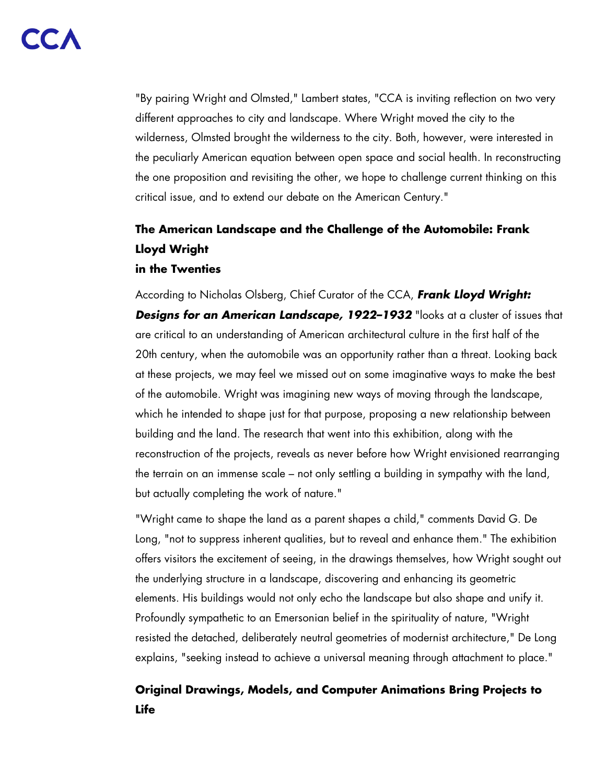"By pairing Wright and Olmsted," Lambert states, "CCA is inviting reflection on two very different approaches to city and landscape. Where Wright moved the city to the wilderness, Olmsted brought the wilderness to the city. Both, however, were interested in the peculiarly American equation between open space and social health. In reconstructing the one proposition and revisiting the other, we hope to challenge current thinking on this critical issue, and to extend our debate on the American Century."

# **The American Landscape and the Challenge of the Automobile: Frank Lloyd Wright**

### **in the Twenties**

According to Nicholas Olsberg, Chief Curator of the CCA, **Frank Lloyd Wright: Designs for an American Landscape, 1922–1932** "looks at a cluster of issues that are critical to an understanding of American architectural culture in the first half of the 20th century, when the automobile was an opportunity rather than a threat. Looking back at these projects, we may feel we missed out on some imaginative ways to make the best of the automobile. Wright was imagining new ways of moving through the landscape, which he intended to shape just for that purpose, proposing a new relationship between building and the land. The research that went into this exhibition, along with the reconstruction of the projects, reveals as never before how Wright envisioned rearranging the terrain on an immense scale – not only settling a building in sympathy with the land, but actually completing the work of nature."

"Wright came to shape the land as a parent shapes a child," comments David G. De Long, "not to suppress inherent qualities, but to reveal and enhance them." The exhibition offers visitors the excitement of seeing, in the drawings themselves, how Wright sought out the underlying structure in a landscape, discovering and enhancing its geometric elements. His buildings would not only echo the landscape but also shape and unify it. Profoundly sympathetic to an Emersonian belief in the spirituality of nature, "Wright resisted the detached, deliberately neutral geometries of modernist architecture," De Long explains, "seeking instead to achieve a universal meaning through attachment to place."

# **Original Drawings, Models, and Computer Animations Bring Projects to Life**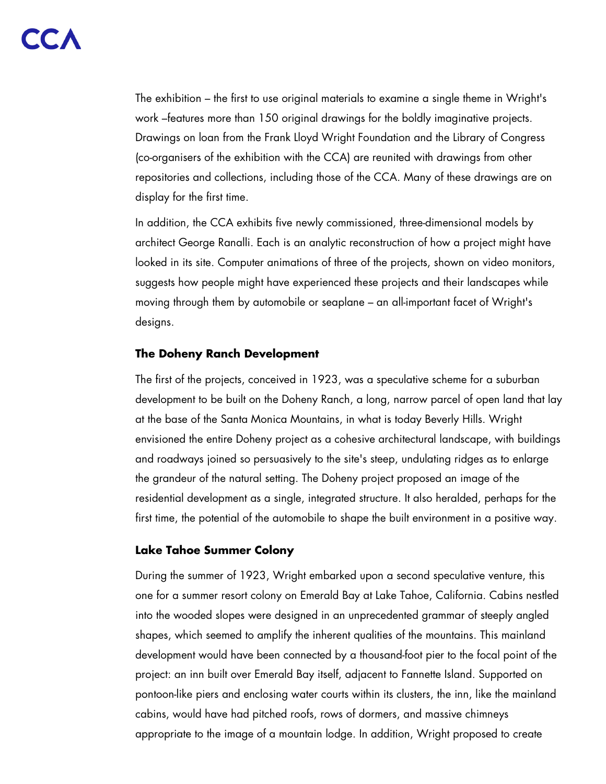The exhibition – the first to use original materials to examine a single theme in Wright's work –features more than 150 original drawings for the boldly imaginative projects. Drawings on loan from the Frank Lloyd Wright Foundation and the Library of Congress (co-organisers of the exhibition with the CCA) are reunited with drawings from other repositories and collections, including those of the CCA. Many of these drawings are on display for the first time.

In addition, the CCA exhibits five newly commissioned, three-dimensional models by architect George Ranalli. Each is an analytic reconstruction of how a project might have looked in its site. Computer animations of three of the projects, shown on video monitors, suggests how people might have experienced these projects and their landscapes while moving through them by automobile or seaplane – an all-important facet of Wright's designs.

#### **The Doheny Ranch Development**

The first of the projects, conceived in 1923, was a speculative scheme for a suburban development to be built on the Doheny Ranch, a long, narrow parcel of open land that lay at the base of the Santa Monica Mountains, in what is today Beverly Hills. Wright envisioned the entire Doheny project as a cohesive architectural landscape, with buildings and roadways joined so persuasively to the site's steep, undulating ridges as to enlarge the grandeur of the natural setting. The Doheny project proposed an image of the residential development as a single, integrated structure. It also heralded, perhaps for the first time, the potential of the automobile to shape the built environment in a positive way.

#### **Lake Tahoe Summer Colony**

During the summer of 1923, Wright embarked upon a second speculative venture, this one for a summer resort colony on Emerald Bay at Lake Tahoe, California. Cabins nestled into the wooded slopes were designed in an unprecedented grammar of steeply angled shapes, which seemed to amplify the inherent qualities of the mountains. This mainland development would have been connected by a thousand-foot pier to the focal point of the project: an inn built over Emerald Bay itself, adjacent to Fannette Island. Supported on pontoon-like piers and enclosing water courts within its clusters, the inn, like the mainland cabins, would have had pitched roofs, rows of dormers, and massive chimneys appropriate to the image of a mountain lodge. In addition, Wright proposed to create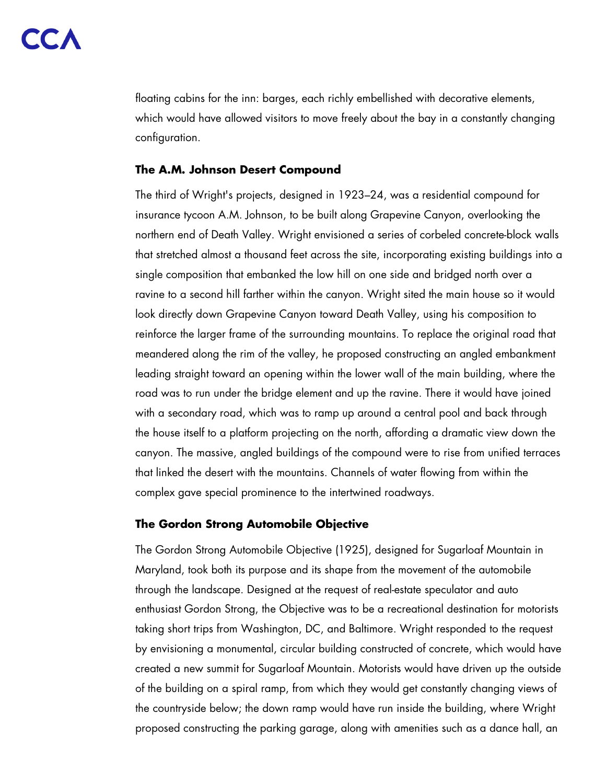floating cabins for the inn: barges, each richly embellished with decorative elements, which would have allowed visitors to move freely about the bay in a constantly changing configuration.

#### **The A.M. Johnson Desert Compound**

The third of Wright's projects, designed in 1923–24, was a residential compound for insurance tycoon A.M. Johnson, to be built along Grapevine Canyon, overlooking the northern end of Death Valley. Wright envisioned a series of corbeled concrete-block walls that stretched almost a thousand feet across the site, incorporating existing buildings into a single composition that embanked the low hill on one side and bridged north over a ravine to a second hill farther within the canyon. Wright sited the main house so it would look directly down Grapevine Canyon toward Death Valley, using his composition to reinforce the larger frame of the surrounding mountains. To replace the original road that meandered along the rim of the valley, he proposed constructing an angled embankment leading straight toward an opening within the lower wall of the main building, where the road was to run under the bridge element and up the ravine. There it would have joined with a secondary road, which was to ramp up around a central pool and back through the house itself to a platform projecting on the north, affording a dramatic view down the canyon. The massive, angled buildings of the compound were to rise from unified terraces that linked the desert with the mountains. Channels of water flowing from within the complex gave special prominence to the intertwined roadways.

#### **The Gordon Strong Automobile Objective**

The Gordon Strong Automobile Objective (1925), designed for Sugarloaf Mountain in Maryland, took both its purpose and its shape from the movement of the automobile through the landscape. Designed at the request of real-estate speculator and auto enthusiast Gordon Strong, the Objective was to be a recreational destination for motorists taking short trips from Washington, DC, and Baltimore. Wright responded to the request by envisioning a monumental, circular building constructed of concrete, which would have created a new summit for Sugarloaf Mountain. Motorists would have driven up the outside of the building on a spiral ramp, from which they would get constantly changing views of the countryside below; the down ramp would have run inside the building, where Wright proposed constructing the parking garage, along with amenities such as a dance hall, an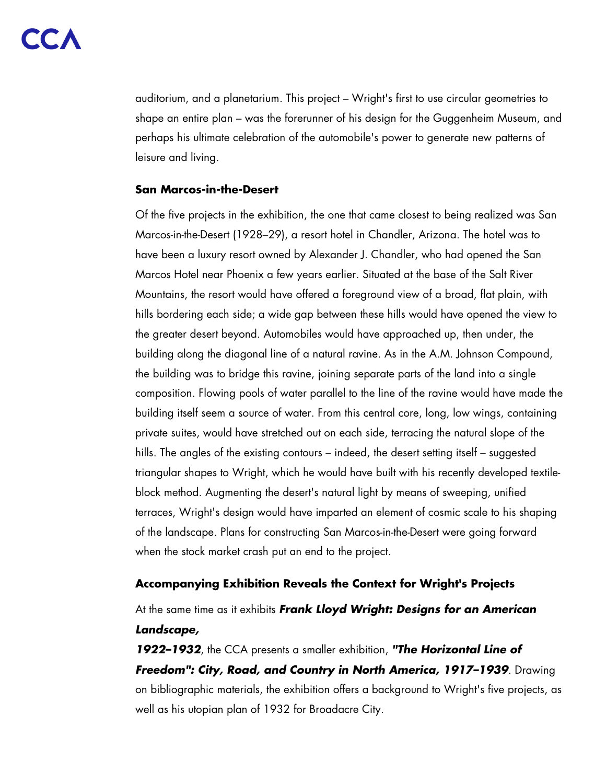auditorium, and a planetarium. This project – Wright's first to use circular geometries to shape an entire plan – was the forerunner of his design for the Guggenheim Museum, and perhaps his ultimate celebration of the automobile's power to generate new patterns of leisure and living.

#### **San Marcos-in-the-Desert**

Of the five projects in the exhibition, the one that came closest to being realized was San Marcos-in-the-Desert (1928–29), a resort hotel in Chandler, Arizona. The hotel was to have been a luxury resort owned by Alexander J. Chandler, who had opened the San Marcos Hotel near Phoenix a few years earlier. Situated at the base of the Salt River Mountains, the resort would have offered a foreground view of a broad, flat plain, with hills bordering each side; a wide gap between these hills would have opened the view to the greater desert beyond. Automobiles would have approached up, then under, the building along the diagonal line of a natural ravine. As in the A.M. Johnson Compound, the building was to bridge this ravine, joining separate parts of the land into a single composition. Flowing pools of water parallel to the line of the ravine would have made the building itself seem a source of water. From this central core, long, low wings, containing private suites, would have stretched out on each side, terracing the natural slope of the hills. The angles of the existing contours – indeed, the desert setting itself – suggested triangular shapes to Wright, which he would have built with his recently developed textileblock method. Augmenting the desert's natural light by means of sweeping, unified terraces, Wright's design would have imparted an element of cosmic scale to his shaping of the landscape. Plans for constructing San Marcos-in-the-Desert were going forward when the stock market crash put an end to the project.

# **Accompanying Exhibition Reveals the Context for Wright's Projects**

At the same time as it exhibits **Frank Lloyd Wright: Designs for an American Landscape,**

**1922–1932**, the CCA presents a smaller exhibition, **"The Horizontal Line of Freedom": City, Road, and Country in North America, 1917–1939**. Drawing on bibliographic materials, the exhibition offers a background to Wright's five projects, as well as his utopian plan of 1932 for Broadacre City.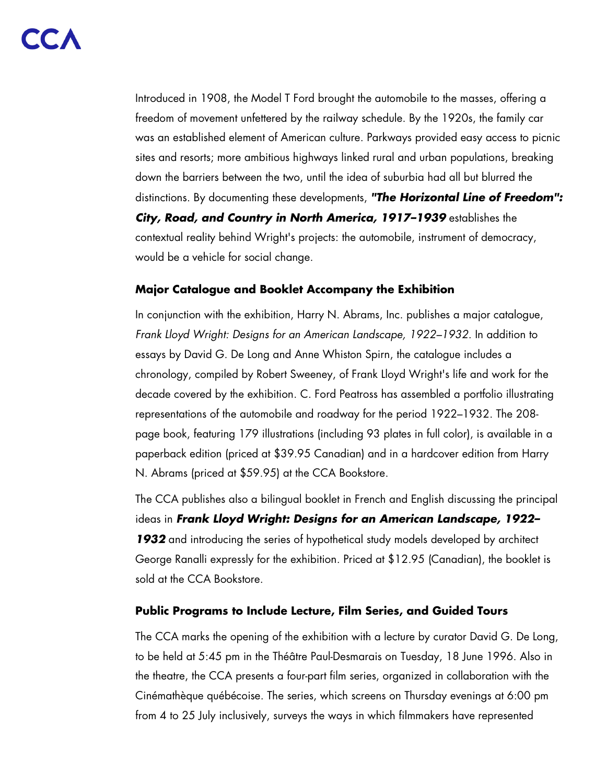Introduced in 1908, the Model T Ford brought the automobile to the masses, offering a freedom of movement unfettered by the railway schedule. By the 1920s, the family car was an established element of American culture. Parkways provided easy access to picnic sites and resorts; more ambitious highways linked rural and urban populations, breaking down the barriers between the two, until the idea of suburbia had all but blurred the distinctions. By documenting these developments, **"The Horizontal Line of Freedom": City, Road, and Country in North America, 1917–1939** establishes the contextual reality behind Wright's projects: the automobile, instrument of democracy, would be a vehicle for social change.

### **Major Catalogue and Booklet Accompany the Exhibition**

In conjunction with the exhibition, Harry N. Abrams, Inc. publishes a major catalogue, Frank Lloyd Wright: Designs for an American Landscape, 1922–1932. In addition to essays by David G. De Long and Anne Whiston Spirn, the catalogue includes a chronology, compiled by Robert Sweeney, of Frank Lloyd Wright's life and work for the decade covered by the exhibition. C. Ford Peatross has assembled a portfolio illustrating representations of the automobile and roadway for the period 1922–1932. The 208 page book, featuring 179 illustrations (including 93 plates in full color), is available in a paperback edition (priced at \$39.95 Canadian) and in a hardcover edition from Harry N. Abrams (priced at \$59.95) at the CCA Bookstore.

The CCA publishes also a bilingual booklet in French and English discussing the principal ideas in **Frank Lloyd Wright: Designs for an American Landscape, 1922– 1932** and introducing the series of hypothetical study models developed by architect George Ranalli expressly for the exhibition. Priced at \$12.95 (Canadian), the booklet is sold at the CCA Bookstore.

#### **Public Programs to Include Lecture, Film Series, and Guided Tours**

The CCA marks the opening of the exhibition with a lecture by curator David G. De Long, to be held at 5:45 pm in the Théâtre Paul-Desmarais on Tuesday, 18 June 1996. Also in the theatre, the CCA presents a four-part film series, organized in collaboration with the Cinémathèque québécoise. The series, which screens on Thursday evenings at 6:00 pm from 4 to 25 July inclusively, surveys the ways in which filmmakers have represented